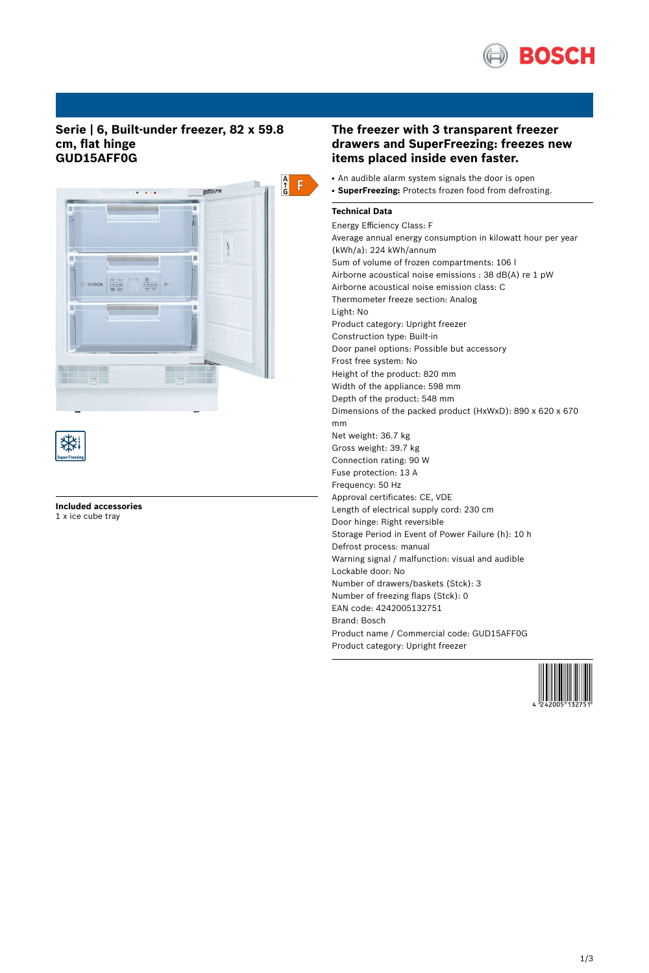

# **Serie | 6, Built-under freezer, 82 x 59.8 cm, flat hinge GUD15AFF0G**





**Included accessories** 1 x ice cube tray

# **The freezer with 3 transparent freezer drawers and SuperFreezing: freezes new items placed inside even faster.**

- An audible alarm system signals the door is open
- **SuperFreezing:** Protects frozen food from defrosting.

## **Technical Data**

Energy Efficiency Class: F Average annual energy consumption in kilowatt hour per year (kWh/a): 224 kWh/annum Sum of volume of frozen compartments: 106 l Airborne acoustical noise emissions : 38 dB(A) re 1 pW Airborne acoustical noise emission class: C Thermometer freeze section: Analog Light: No Product category: Upright freezer Construction type: Built-in Door panel options: Possible but accessory Frost free system: No Height of the product: 820 mm Width of the appliance: 598 mm Depth of the product: 548 mm Dimensions of the packed product (HxWxD): 890 x 620 x 670 mm Net weight: 36.7 kg Gross weight: 39.7 kg Connection rating: 90 W Fuse protection: 13 A Frequency: 50 Hz Approval certificates: CE, VDE Length of electrical supply cord: 230 cm Door hinge: Right reversible Storage Period in Event of Power Failure (h): 10 h Defrost process: manual Warning signal / malfunction: visual and audible Lockable door: No Number of drawers/baskets (Stck): 3 Number of freezing flaps (Stck): 0 EAN code: 4242005132751 Brand: Bosch Product name / Commercial code: GUD15AFF0G Product category: Upright freezer

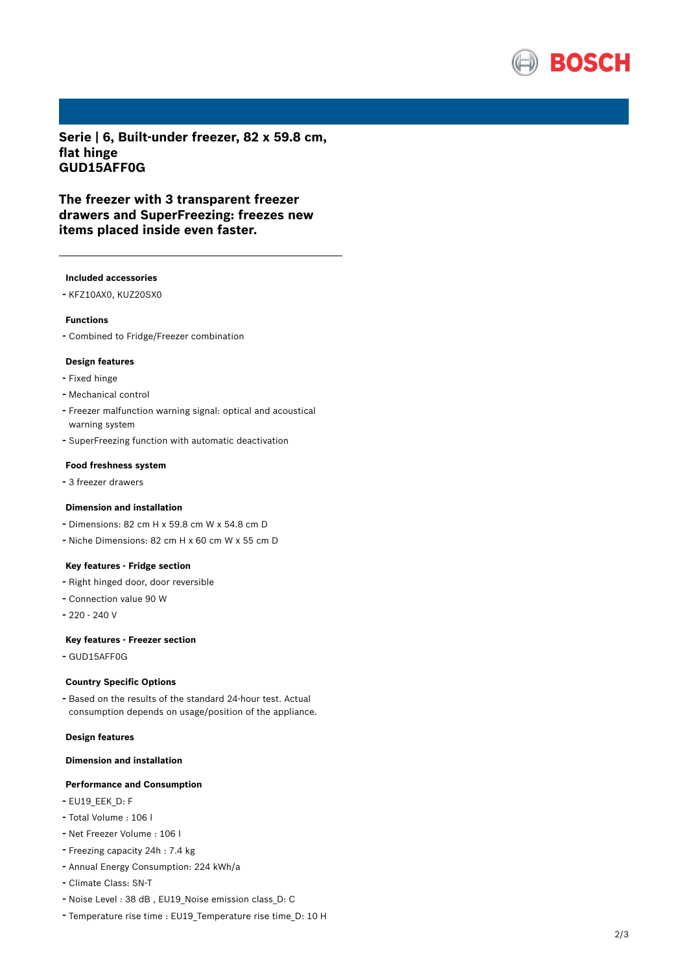

**Serie | 6, Built-under freezer, 82 x 59.8 cm, flat hinge GUD15AFF0G**

**The freezer with 3 transparent freezer drawers and SuperFreezing: freezes new items placed inside even faster.**

#### **Included accessories**

- KFZ10AX0, KUZ20SX0

#### **Functions**

- Combined to Fridge/Freezer combination

### **Design features**

- Fixed hinge
- Mechanical control
- Freezer malfunction warning signal: optical and acoustical warning system
- SuperFreezing function with automatic deactivation

#### **Food freshness system**

- <sup>3</sup> freezer drawers

## **Dimension and installation**

- Dimensions: 82 cm H x 59.8 cm W x 54.8 cm D
- Niche Dimensions: <sup>82</sup> cm <sup>H</sup> <sup>x</sup> <sup>60</sup> cm <sup>W</sup> <sup>x</sup> <sup>55</sup> cm <sup>D</sup>

## **Key features - Fridge section**

- Right hinged door, door reversible
- Connection value <sup>90</sup> <sup>W</sup>
- 220 240 V

#### **Key features - Freezer section**

- GUD15AFF0G

### **Country Specific Options**

- Based on the results of the standard 24-hour test. Actual consumption depends on usage/position of the appliance.

### **Design features**

### **Dimension and installation**

#### **Performance and Consumption**

- EU19\_EEK\_D: F
- Total Volume : <sup>106</sup> <sup>l</sup>
- Net Freezer Volume : <sup>106</sup> <sup>l</sup>
- Freezing capacity 24h : 7.4 kg
- Annual Energy Consumption: <sup>224</sup> kWh/a
- Climate Class: SN-T
- Noise Level : <sup>38</sup> dB , EU19\_Noise emission class\_D: <sup>C</sup>
- Temperature rise time : EU19\_Temperature rise time\_D: <sup>10</sup> <sup>H</sup>